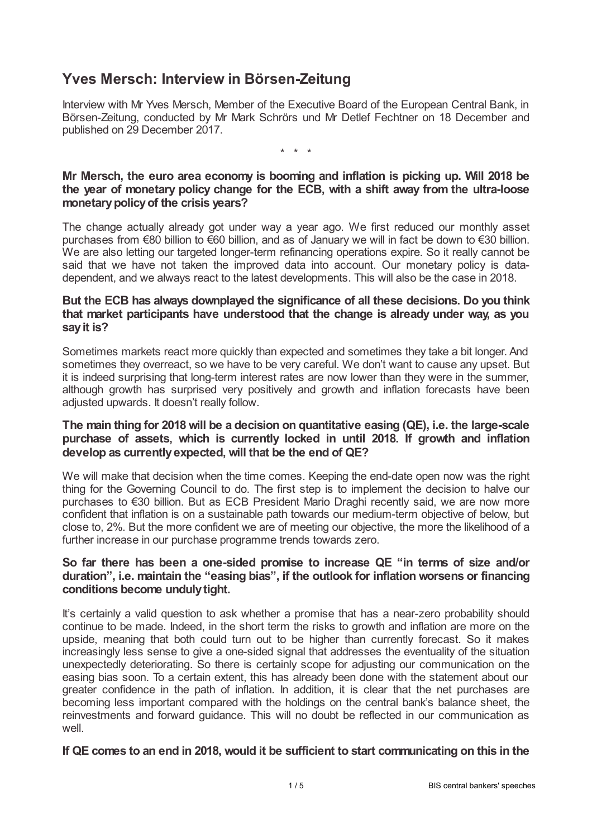# **Yves Mersch: Interview in Börsen-Zeitung**

Interview with Mr Yves Mersch, Member of the Executive Board of the European Central Bank, in Börsen-Zeitung, conducted by Mr Mark Schrörs und Mr Detlef Fechtner on 18 December and published on 29 December 2017.

\* \* \*

# **Mr Mersch, the euro area economy is booming and inflation is picking up. Will 2018 be the year of monetary policy change for the ECB, with a shift away from the ultra-loose monetarypolicyof the crisis years?**

The change actually already got under way a year ago. We first reduced our monthly asset purchases from €80 billion to €60 billion, and as of January we will in fact be down to €30 billion. We are also letting our targeted longer-term refinancing operations expire. So it really cannot be said that we have not taken the improved data into account. Our monetary policy is datadependent, and we always react to the latest developments. This will also be the case in 2018.

# **But the ECB has always downplayed the significance of all these decisions. Do you think that market participants have understood that the change is already under way, as you sayit is?**

Sometimes markets react more quickly than expected and sometimes they take a bit longer. And sometimes they overreact, so we have to be very careful. We don't want to cause any upset. But it is indeed surprising that long-term interest rates are now lower than they were in the summer, although growth has surprised very positively and growth and inflation forecasts have been adjusted upwards. It doesn't really follow.

#### **The main thing for 2018 will be a decision on quantitative easing (QE), i.e. the large-scale purchase of assets, which is currently locked in until 2018. If growth and inflation develop as currentlyexpected, will that be the end of QE?**

We will make that decision when the time comes. Keeping the end-date open now was the right thing for the Governing Council to do. The first step is to implement the decision to halve our purchases to €30 billion. But as ECB President Mario Draghi recently said, we are now more confident that inflation is on a sustainable path towards our medium-term objective of below, but close to, 2%. But the more confident we are of meeting our objective, the more the likelihood of a further increase in our purchase programme trends towards zero.

# **So far there has been a one-sided promise to increase QE "in terms of size and/or duration", i.e. maintain the "easing bias", if the outlook for inflation worsens or financing conditions become undulytight.**

It's certainly a valid question to ask whether a promise that has a near-zero probability should continue to be made. Indeed, in the short term the risks to growth and inflation are more on the upside, meaning that both could turn out to be higher than currently forecast. So it makes increasingly less sense to give a one-sided signal that addresses the eventuality of the situation unexpectedly deteriorating. So there is certainly scope for adjusting our communication on the easing bias soon. To a certain extent, this has already been done with the statement about our greater confidence in the path of inflation. In addition, it is clear that the net purchases are becoming less important compared with the holdings on the central bank's balance sheet, the reinvestments and forward guidance. This will no doubt be reflected in our communication as well.

#### **If QE comes to an end in 2018, would it be sufficient to start communicating on this in the**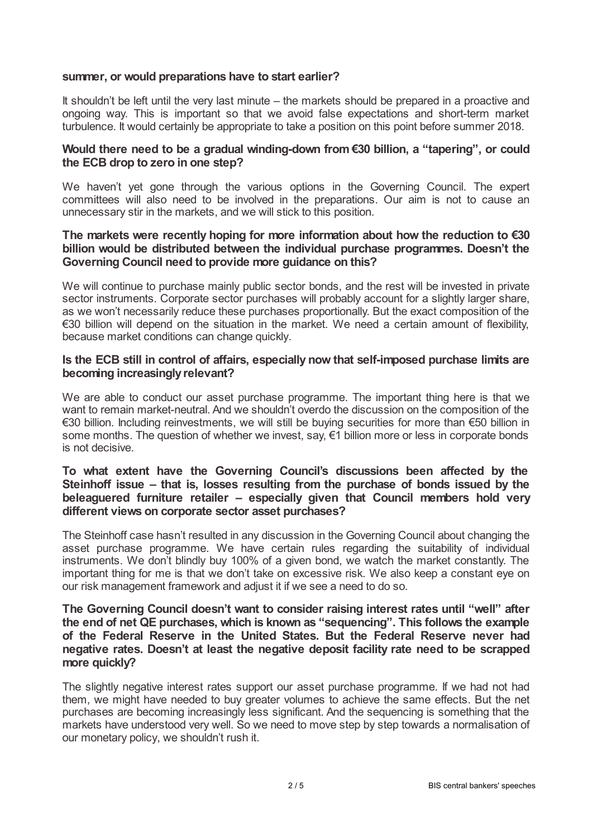#### **summer, or would preparations have to start earlier?**

It shouldn't be left until the very last minute – the markets should be prepared in a proactive and ongoing way. This is important so that we avoid false expectations and short-term market turbulence. It would certainly be appropriate to take a position on this point before summer 2018.

## **Would there need to be a gradual winding-down from €30 billion, a "tapering", or could the ECB drop to zero in one step?**

We haven't yet gone through the various options in the Governing Council. The expert committees will also need to be involved in the preparations. Our aim is not to cause an unnecessary stir in the markets, and we will stick to this position.

## **The markets were recently hoping for more information about how the reduction to €30 billion would be distributed between the individual purchase programmes. Doesn't the Governing Council need to provide more guidance on this?**

We will continue to purchase mainly public sector bonds, and the rest will be invested in private sector instruments. Corporate sector purchases will probably account for a slightly larger share, as we won't necessarily reduce these purchases proportionally. But the exact composition of the €30 billion will depend on the situation in the market. We need a certain amount of flexibility, because market conditions can change quickly.

#### **Is the ECB still in control of affairs, especially now that self-imposed purchase limits are becoming increasinglyrelevant?**

We are able to conduct our asset purchase programme. The important thing here is that we want to remain market-neutral. And we shouldn't overdo the discussion on the composition of the €30 billion. Including reinvestments, we will still be buying securities for more than €50 billion in some months. The question of whether we invest, say,  $\epsilon$ 1 billion more or less in corporate bonds is not decisive.

#### **To what extent have the Governing Council's discussions been affected by the Steinhoff issue – that is, losses resulting from the purchase of bonds issued by the beleaguered furniture retailer – especially given that Council members hold very different views on corporate sector asset purchases?**

The Steinhoff case hasn't resulted in any discussion in the Governing Council about changing the asset purchase programme. We have certain rules regarding the suitability of individual instruments. We don't blindly buy 100% of a given bond, we watch the market constantly. The important thing for me is that we don't take on excessive risk. We also keep a constant eye on our risk management framework and adjust it if we see a need to do so.

# **The Governing Council doesn't want to consider raising interest rates until "well" after the end of net QE purchases, which is known as "sequencing". This follows the example of the Federal Reserve in the United States. But the Federal Reserve never had negative rates. Doesn't at least the negative deposit facility rate need to be scrapped more quickly?**

The slightly negative interest rates support our asset purchase programme. If we had not had them, we might have needed to buy greater volumes to achieve the same effects. But the net purchases are becoming increasingly less significant. And the sequencing is something that the markets have understood very well. So we need to move step by step towards a normalisation of our monetary policy, we shouldn't rush it.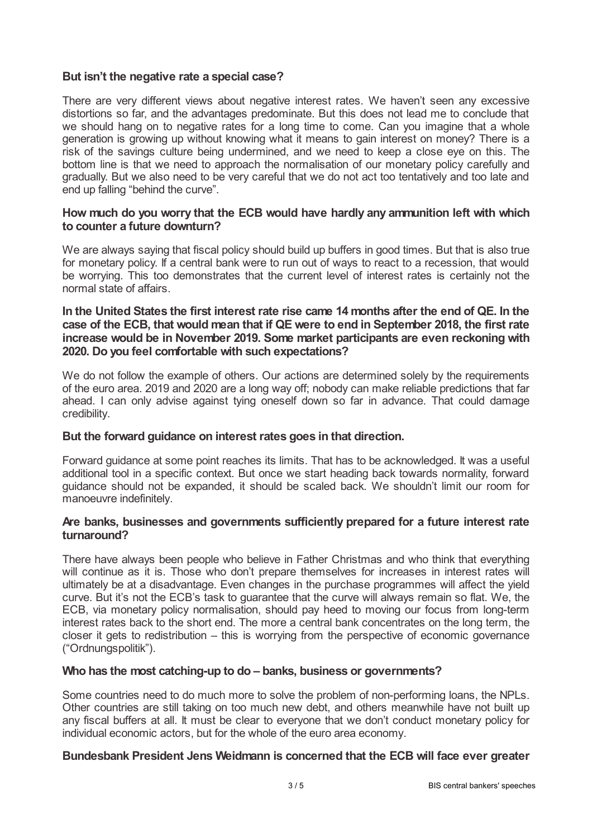# **But isn't the negative rate a special case?**

There are very different views about negative interest rates. We haven't seen any excessive distortions so far, and the advantages predominate. But this does not lead me to conclude that we should hang on to negative rates for a long time to come. Can you imagine that a whole generation is growing up without knowing what it means to gain interest on money? There is a risk of the savings culture being undermined, and we need to keep a close eye on this. The bottom line is that we need to approach the normalisation of our monetary policy carefully and gradually. But we also need to be very careful that we do not act too tentatively and too late and end up falling "behind the curve".

### **How much do you worry that the ECB would have hardly any ammunition left with which to counter a future downturn?**

We are always saying that fiscal policy should build up buffers in good times. But that is also true for monetary policy. If a central bank were to run out of ways to react to a recession, that would be worrying. This too demonstrates that the current level of interest rates is certainly not the normal state of affairs.

#### In the United States the first interest rate rise came 14 months after the end of QE. In the **case of the ECB, that would mean that if QE were to end in September 2018, the first rate increase would be in November 2019. Some market participants are even reckoning with 2020. Do you feel comfortable with such expectations?**

We do not follow the example of others. Our actions are determined solely by the requirements of the euro area. 2019 and 2020 are a long way off; nobody can make reliable predictions that far ahead. I can only advise against tying oneself down so far in advance. That could damage credibility.

#### **But the forward guidance on interest rates goes in that direction.**

Forward guidance at some point reaches its limits. That has to be acknowledged. It was a useful additional tool in a specific context. But once we start heading back towards normality, forward guidance should not be expanded, it should be scaled back. We shouldn't limit our room for manoeuvre indefinitely.

#### **Are banks, businesses and governments sufficiently prepared for a future interest rate turnaround?**

There have always been people who believe in Father Christmas and who think that everything will continue as it is. Those who don't prepare themselves for increases in interest rates will ultimately be at a disadvantage. Even changes in the purchase programmes will affect the yield curve. But it's not the ECB's task to guarantee that the curve will always remain so flat. We, the ECB, via monetary policy normalisation, should pay heed to moving our focus from long-term interest rates back to the short end. The more a central bank concentrates on the long term, the closer it gets to redistribution – this is worrying from the perspective of economic governance ("Ordnungspolitik").

#### **Who has the most catching-up to do – banks, business or governments?**

Some countries need to do much more to solve the problem of non-performing loans, the NPLs. Other countries are still taking on too much new debt, and others meanwhile have not built up any fiscal buffers at all. It must be clear to everyone that we don't conduct monetary policy for individual economic actors, but for the whole of the euro area economy.

#### **Bundesbank President Jens Weidmann is concerned that the ECB will face ever greater**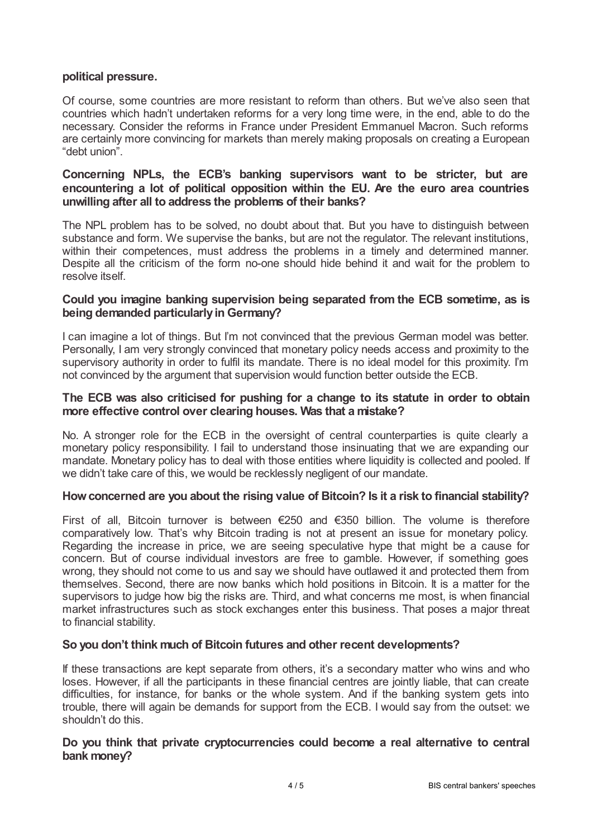# **political pressure.**

Of course, some countries are more resistant to reform than others. But we've also seen that countries which hadn't undertaken reforms for a very long time were, in the end, able to do the necessary. Consider the reforms in France under President Emmanuel Macron. Such reforms are certainly more convincing for markets than merely making proposals on creating a European "debt union".

# **Concerning NPLs, the ECB's banking supervisors want to be stricter, but are encountering a lot of political opposition within the EU. Are the euro area countries unwilling after all to address the problems of their banks?**

The NPL problem has to be solved, no doubt about that. But you have to distinguish between substance and form. We supervise the banks, but are not the regulator. The relevant institutions, within their competences, must address the problems in a timely and determined manner. Despite all the criticism of the form no-one should hide behind it and wait for the problem to resolve itself.

# **Could you imagine banking supervision being separated from the ECB sometime, as is being demanded particularlyin Germany?**

I can imagine a lot of things. But I'm not convinced that the previous German model was better. Personally, I am very strongly convinced that monetary policy needs access and proximity to the supervisory authority in order to fulfil its mandate. There is no ideal model for this proximity. I'm not convinced by the argument that supervision would function better outside the ECB.

#### **The ECB was also criticised for pushing for a change to its statute in order to obtain more effective control over clearing houses. Was that a mistake?**

No. A stronger role for the ECB in the oversight of central counterparties is quite clearly a monetary policy responsibility. I fail to understand those insinuating that we are expanding our mandate. Monetary policy has to deal with those entities where liquidity is collected and pooled. If we didn't take care of this, we would be recklessly negligent of our mandate.

# **Howconcerned are you about the rising value of Bitcoin? Is it a risk to financial stability?**

First of all, Bitcoin turnover is between €250 and €350 billion. The volume is therefore comparatively low. That's why Bitcoin trading is not at present an issue for monetary policy. Regarding the increase in price, we are seeing speculative hype that might be a cause for concern. But of course individual investors are free to gamble. However, if something goes wrong, they should not come to us and say we should have outlawed it and protected them from themselves. Second, there are now banks which hold positions in Bitcoin. It is a matter for the supervisors to judge how big the risks are. Third, and what concerns me most, is when financial market infrastructures such as stock exchanges enter this business. That poses a major threat to financial stability.

#### **So you don't think much of Bitcoin futures and other recent developments?**

If these transactions are kept separate from others, it's a secondary matter who wins and who loses. However, if all the participants in these financial centres are jointly liable, that can create difficulties, for instance, for banks or the whole system. And if the banking system gets into trouble, there will again be demands for support from the ECB. I would say from the outset: we shouldn't do this.

#### **Do you think that private cryptocurrencies could become a real alternative to central bank money?**